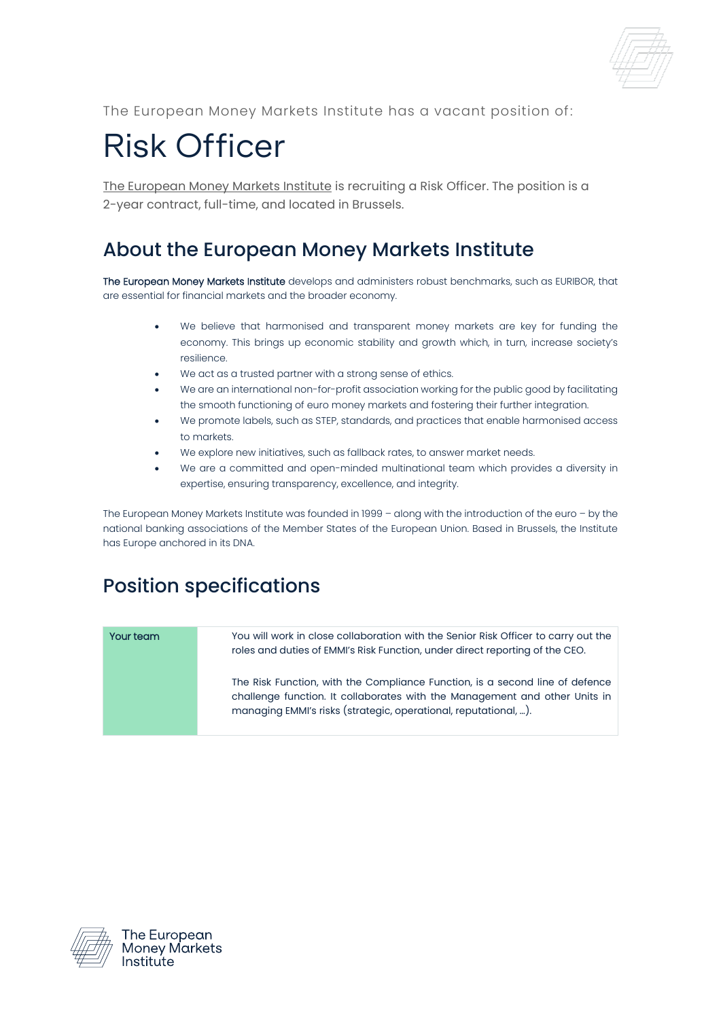The European Money Markets Institute has a vacant position of:

## Risk Officer

[The European Money Markets Institute](http://www.emmi-benchmarks.eu/) is recruiting a Risk Officer. The position is a 2-year contract, full-time, and located in Brussels.

## About the European Money Markets Institute

The European Money Markets Institute develops and administers robust benchmarks, such as EURIBOR, that are essential for financial markets and the broader economy.

- We believe that harmonised and transparent money markets are key for funding the economy. This brings up economic stability and growth which, in turn, increase society's resilience.
- We act as a trusted partner with a strong sense of ethics.
- We are an international non-for-profit association working for the public good by facilitating the smooth functioning of euro money markets and fostering their further integration.
- We promote labels, such as STEP, standards, and practices that enable harmonised access to markets.
- We explore new initiatives, such as fallback rates, to answer market needs.
- We are a committed and open-minded multinational team which provides a diversity in expertise, ensuring transparency, excellence, and integrity.

The European Money Markets Institute was founded in 1999 – along with the introduction of the euro – by the national banking associations of the Member States of the European Union. Based in Brussels, the Institute has Europe anchored in its DNA.

## Position specifications

| Your team | You will work in close collaboration with the Senior Risk Officer to carry out the<br>roles and duties of EMMI's Risk Function, under direct reporting of the CEO.                                                            |
|-----------|-------------------------------------------------------------------------------------------------------------------------------------------------------------------------------------------------------------------------------|
|           | The Risk Function, with the Compliance Function, is a second line of defence<br>challenge function. It collaborates with the Management and other Units in<br>managing EMMI's risks (strategic, operational, reputational, ). |



The European **Money Markets** Institute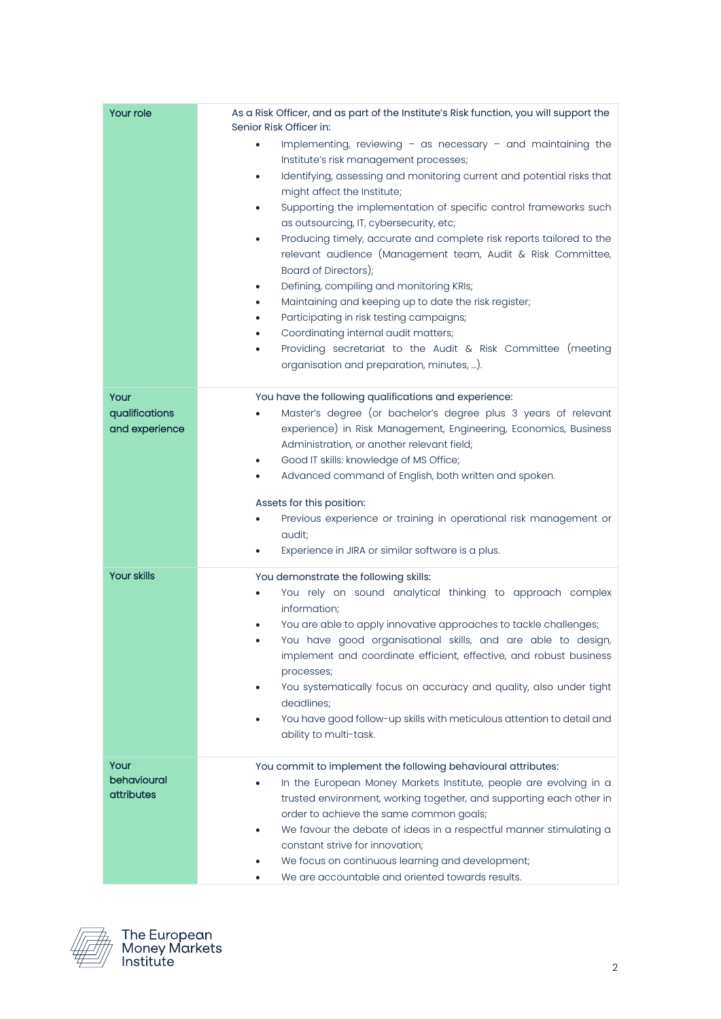| Your role                                | As a Risk Officer, and as part of the Institute's Risk function, you will support the<br>Senior Risk Officer in:<br>Implementing, reviewing $-$ as necessary $-$ and maintaining the<br>٠<br>Institute's risk management processes;<br>Identifying, assessing and monitoring current and potential risks that<br>٠<br>might affect the Institute;<br>Supporting the implementation of specific control frameworks such<br>٠<br>as outsourcing, IT, cybersecurity, etc;<br>Producing timely, accurate and complete risk reports tailored to the<br>٠<br>relevant audience (Management team, Audit & Risk Committee,<br>Board of Directors);<br>Defining, compiling and monitoring KRIs;<br>٠<br>Maintaining and keeping up to date the risk register;<br>٠<br>Participating in risk testing campaigns;<br>٠<br>Coordinating internal audit matters;<br>٠<br>Providing secretariat to the Audit & Risk Committee (meeting<br>٠<br>organisation and preparation, minutes, ). |
|------------------------------------------|---------------------------------------------------------------------------------------------------------------------------------------------------------------------------------------------------------------------------------------------------------------------------------------------------------------------------------------------------------------------------------------------------------------------------------------------------------------------------------------------------------------------------------------------------------------------------------------------------------------------------------------------------------------------------------------------------------------------------------------------------------------------------------------------------------------------------------------------------------------------------------------------------------------------------------------------------------------------------|
| Your<br>qualifications<br>and experience | You have the following qualifications and experience:<br>Master's degree (or bachelor's degree plus 3 years of relevant<br>experience) in Risk Management, Engineering, Economics, Business<br>Administration, or another relevant field;<br>Good IT skills: knowledge of MS Office;<br>٠<br>Advanced command of English, both written and spoken.<br>٠<br>Assets for this position:<br>Previous experience or training in operational risk management or<br>٠<br>audit;<br>Experience in JIRA or similar software is a plus.                                                                                                                                                                                                                                                                                                                                                                                                                                             |
| <b>Your skills</b>                       | You demonstrate the following skills:<br>You rely on sound analytical thinking to approach complex<br>$\bullet$<br>information;<br>You are able to apply innovative approaches to tackle challenges;<br>You have good organisational skills, and are able to design,<br>implement and coordinate efficient, effective, and robust business<br>processes;<br>You systematically focus on accuracy and quality, also under tight<br>deadlines;<br>You have good follow-up skills with meticulous attention to detail and<br>ability to multi-task.                                                                                                                                                                                                                                                                                                                                                                                                                          |
| Your<br>behavioural<br>attributes        | You commit to implement the following behavioural attributes:<br>In the European Money Markets Institute, people are evolving in a<br>trusted environment, working together, and supporting each other in<br>order to achieve the same common goals;<br>We favour the debate of ideas in a respectful manner stimulating a<br>٠<br>constant strive for innovation;<br>We focus on continuous learning and development;<br>We are accountable and oriented towards results.                                                                                                                                                                                                                                                                                                                                                                                                                                                                                                |



The European<br>Money Markets<br>Institute